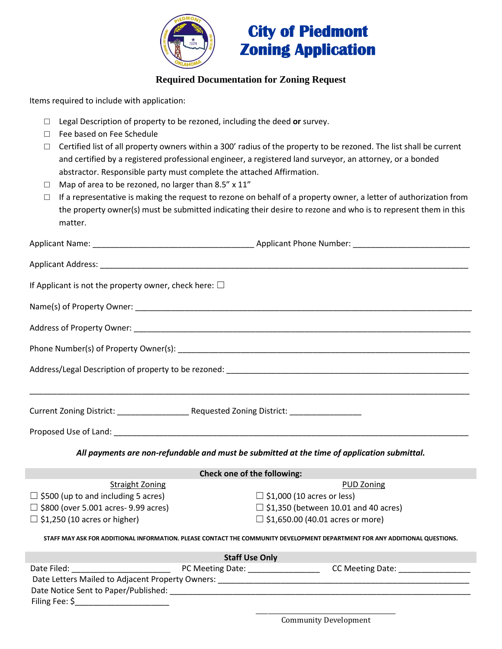

## **City of Piedmont Zoning Application**

## **Required Documentation for Zoning Request**

Items required to include with application:

- □ Legal Description of property to be rezoned, including the deed **or** survey.
- □ Fee based on Fee Schedule
- $\Box$  Certified list of all property owners within a 300' radius of the property to be rezoned. The list shall be current and certified by a registered professional engineer, a registered land surveyor, an attorney, or a bonded abstractor. Responsible party must complete the attached Affirmation.
- $\Box$  Map of area to be rezoned, no larger than 8.5" x 11"
- $\square$  If a representative is making the request to rezone on behalf of a property owner, a letter of authorization from the property owner(s) must be submitted indicating their desire to rezone and who is to represent them in this matter.

| If Applicant is not the property owner, check here: $\square$ |                                                                                                                                      |
|---------------------------------------------------------------|--------------------------------------------------------------------------------------------------------------------------------------|
|                                                               |                                                                                                                                      |
|                                                               |                                                                                                                                      |
|                                                               |                                                                                                                                      |
|                                                               |                                                                                                                                      |
|                                                               |                                                                                                                                      |
|                                                               |                                                                                                                                      |
|                                                               |                                                                                                                                      |
|                                                               | All payments are non-refundable and must be submitted at the time of application submittal.                                          |
|                                                               | Check one of the following:                                                                                                          |
| <b>Straight Zoning</b>                                        | <b>PUD Zoning</b><br>the contract of the contract of the contract of the contract of the contract of the contract of the contract of |

| $\Box$ \$500 (up to and including 5 acres)  |  |
|---------------------------------------------|--|
| $\Box$ \$800 (over 5.001 acres- 9.99 acres) |  |
| $\Box$ \$1,250 (10 acres or higher)         |  |

- $\Box$  \$1,000 (10 acres or less)
- $\Box$  \$1,350 (between 10.01 and 40 acres)
- $\Box$  \$1,650.00 (40.01 acres or more)

**STAFF MAY ASK FOR ADDITIONAL INFORMATION. PLEASE CONTACT THE COMMUNITY DEVELOPMENT DEPARTMENT FOR ANY ADDITIONAL QUESTIONS.**

|                                                  | <b>Staff Use Only</b> |                  |
|--------------------------------------------------|-----------------------|------------------|
| Date Filed:                                      | PC Meeting Date:      | CC Meeting Date: |
| Date Letters Mailed to Adjacent Property Owners: |                       |                  |
| Date Notice Sent to Paper/Published:             |                       |                  |
| Filing Fee: \$                                   |                       |                  |

\_\_\_\_\_\_\_\_\_\_\_\_\_\_\_\_\_\_\_\_\_\_\_\_\_\_\_\_\_\_\_\_\_\_\_\_\_\_\_\_\_\_\_\_\_\_ Community Development